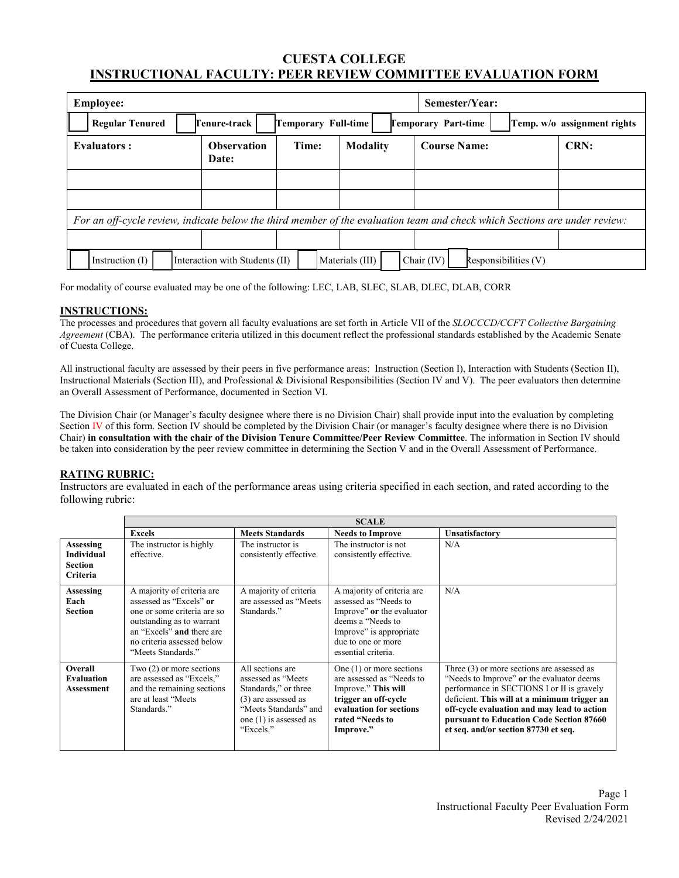# **CUESTA COLLEGE INSTRUCTIONAL FACULTY: PEER REVIEW COMMITTEE EVALUATION FORM**

| <b>Employee:</b>                                                                                                           |                                |                     |                 | Semester/Year:                       |                             |
|----------------------------------------------------------------------------------------------------------------------------|--------------------------------|---------------------|-----------------|--------------------------------------|-----------------------------|
| <b>Regular Tenured</b>                                                                                                     | Tenure-track                   | Temporary Full-time |                 | <b>Temporary Part-time</b>           | Temp. w/o assignment rights |
| <b>Evaluators:</b>                                                                                                         | <b>Observation</b><br>Date:    | Time:               | <b>Modality</b> | <b>Course Name:</b>                  | CRN:                        |
|                                                                                                                            |                                |                     |                 |                                      |                             |
|                                                                                                                            |                                |                     |                 |                                      |                             |
| For an off-cycle review, indicate below the third member of the evaluation team and check which Sections are under review: |                                |                     |                 |                                      |                             |
|                                                                                                                            |                                |                     |                 |                                      |                             |
| Instruction $(I)$                                                                                                          | Interaction with Students (II) |                     | Materials (III) | Chair $(IV)$<br>Responsibilities (V) |                             |

For modality of course evaluated may be one of the following: LEC, LAB, SLEC, SLAB, DLEC, DLAB, CORR

## **INSTRUCTIONS:**

The processes and procedures that govern all faculty evaluations are set forth in Article VII of the *SLOCCCD/CCFT Collective Bargaining Agreement* (CBA). The performance criteria utilized in this document reflect the professional standards established by the Academic Senate of Cuesta College.

All instructional faculty are assessed by their peers in five performance areas: Instruction (Section I), Interaction with Students (Section II), Instructional Materials (Section III), and Professional & Divisional Responsibilities (Section IV and V). The peer evaluators then determine an Overall Assessment of Performance, documented in Section VI.

The Division Chair (or Manager's faculty designee where there is no Division Chair) shall provide input into the evaluation by completing Section IV of this form. Section IV should be completed by the Division Chair (or manager's faculty designee where there is no Division Chair) **in consultation with the chair of the Division Tenure Committee/Peer Review Committee**. The information in Section IV should be taken into consideration by the peer review committee in determining the Section V and in the Overall Assessment of Performance.

## **RATING RUBRIC:**

Instructors are evaluated in each of the performance areas using criteria specified in each section, and rated according to the following rubric:

|                                                              | <b>SCALE</b>                                                                                                                                                                                       |                                                                                                                                                          |                                                                                                                                                                                |                                                                                                                                                                                                                                                                                                                            |  |  |
|--------------------------------------------------------------|----------------------------------------------------------------------------------------------------------------------------------------------------------------------------------------------------|----------------------------------------------------------------------------------------------------------------------------------------------------------|--------------------------------------------------------------------------------------------------------------------------------------------------------------------------------|----------------------------------------------------------------------------------------------------------------------------------------------------------------------------------------------------------------------------------------------------------------------------------------------------------------------------|--|--|
|                                                              | <b>Excels</b>                                                                                                                                                                                      | <b>Meets Standards</b>                                                                                                                                   | <b>Needs to Improve</b>                                                                                                                                                        | Unsatisfactory                                                                                                                                                                                                                                                                                                             |  |  |
| Assessing<br><b>Individual</b><br>Section<br><b>Criteria</b> | The instructor is highly<br>effective.                                                                                                                                                             | The instructor is<br>consistently effective.                                                                                                             | The instructor is not<br>consistently effective.                                                                                                                               | N/A                                                                                                                                                                                                                                                                                                                        |  |  |
| Assessing<br>Each<br>Section                                 | A majority of criteria are<br>assessed as "Excels" or<br>one or some criteria are so<br>outstanding as to warrant<br>an "Excels" and there are<br>no criteria assessed below<br>"Meets Standards." | A majority of criteria<br>are assessed as "Meets"<br>Standards."                                                                                         | A majority of criteria are<br>assessed as "Needs to<br>Improve" or the evaluator<br>deems a "Needs to"<br>Improve" is appropriate<br>due to one or more<br>essential criteria. | N/A                                                                                                                                                                                                                                                                                                                        |  |  |
| Overall<br><b>Evaluation</b><br>Assessment                   | Two $(2)$ or more sections<br>are assessed as "Excels,"<br>and the remaining sections<br>are at least "Meets"<br>Standards."                                                                       | All sections are<br>assessed as "Meets"<br>Standards," or three<br>(3) are assessed as<br>"Meets Standards" and<br>one $(1)$ is assessed as<br>"Excels." | One $(1)$ or more sections<br>are assessed as "Needs to<br>Improve." This will<br>trigger an off-cycle<br>evaluation for sections<br>rated "Needs to<br>Improve."              | Three $(3)$ or more sections are assessed as<br>"Needs to Improve" or the evaluator deems<br>performance in SECTIONS I or II is gravely<br>deficient. This will at a minimum trigger an<br>off-cycle evaluation and may lead to action<br>pursuant to Education Code Section 87660<br>et seq. and/or section 87730 et seq. |  |  |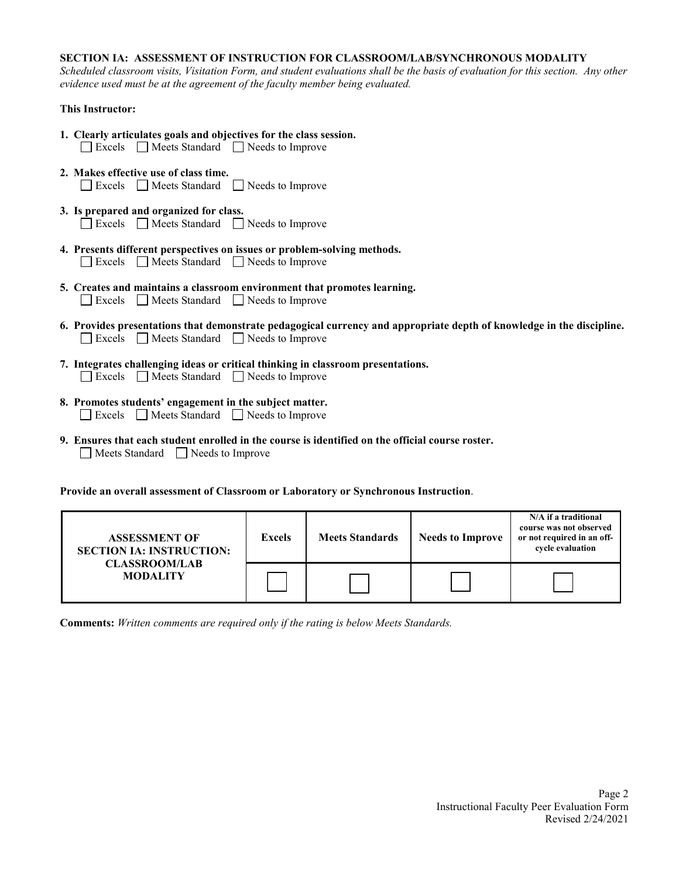## **SECTION IA: ASSESSMENT OF INSTRUCTION FOR CLASSROOM/LAB/SYNCHRONOUS MODALITY**

*Scheduled classroom visits, Visitation Form, and student evaluations shall be the basis of evaluation for this section. Any other evidence used must be at the agreement of the faculty member being evaluated.*

## **This Instructor:**

- **1. Clearly articulates goals and objectives for the class session.** Excels Meets Standard Needs to Improve **2. Makes effective use of class time.** Excels Meets Standard Needs to Improve
- **3. Is prepared and organized for class.** Excels Meets Standard Needs to Improve
- **4. Presents different perspectives on issues or problem-solving methods.** Excels Meets Standard Needs to Improve
- **5. Creates and maintains a classroom environment that promotes learning.** Excels Meets Standard Needs to Improve
- **6. Provides presentations that demonstrate pedagogical currency and appropriate depth of knowledge in the discipline.**  Excels Meets Standard Needs to Improve
- **7. Integrates challenging ideas or critical thinking in classroom presentations.** Excels Meets Standard Needs to Improve
- **8. Promotes students' engagement in the subject matter.** Excels Meets Standard Needs to Improve
- **9. Ensures that each student enrolled in the course is identified on the official course roster.** Meets Standard Needs to Improve

**Provide an overall assessment of Classroom or Laboratory or Synchronous Instruction**.

| <b>ASSESSMENT OF</b><br><b>SECTION IA: INSTRUCTION:</b> | <b>Excels</b> | <b>Meets Standards</b> | <b>Needs to Improve</b> | N/A if a traditional<br>course was not observed<br>or not required in an off-<br>cvcle evaluation |
|---------------------------------------------------------|---------------|------------------------|-------------------------|---------------------------------------------------------------------------------------------------|
| <b>CLASSROOM/LAB</b><br><b>MODALITY</b>                 |               |                        |                         |                                                                                                   |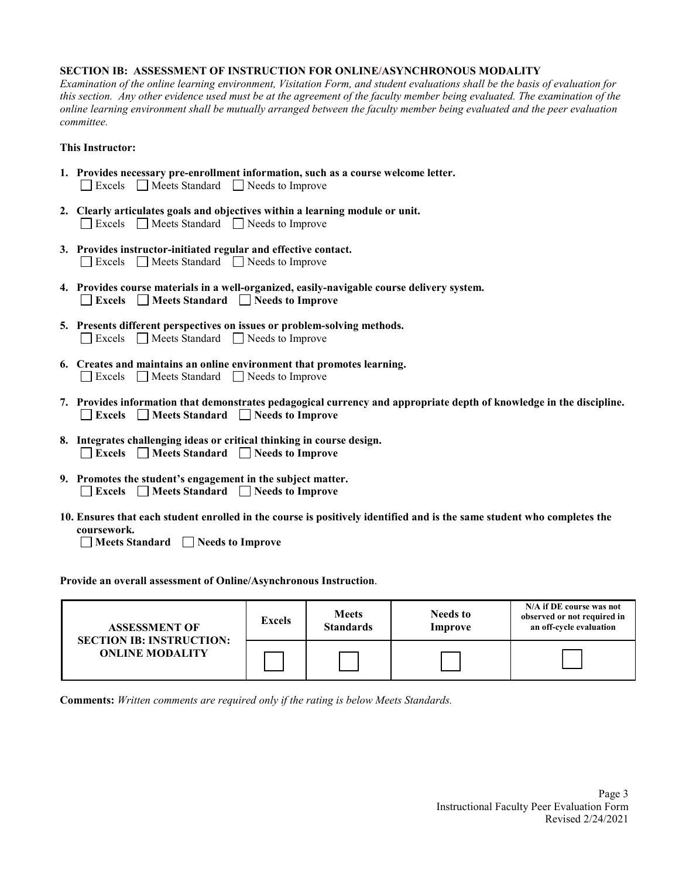#### **SECTION IB: ASSESSMENT OF INSTRUCTION FOR ONLINE/ASYNCHRONOUS MODALITY**

*Examination of the online learning environment, Visitation Form, and student evaluations shall be the basis of evaluation for this section. Any other evidence used must be at the agreement of the faculty member being evaluated. The examination of the online learning environment shall be mutually arranged between the faculty member being evaluated and the peer evaluation committee.*

## **This Instructor:**

|  | 1. Provides necessary pre-enrollment information, such as a course welcome letter. |
|--|------------------------------------------------------------------------------------|
|  | Excels Meets Standard Needs to Improve                                             |

- **2. Clearly articulates goals and objectives within a learning module or unit.** Excels Meets Standard Needs to Improve
- **3. Provides instructor-initiated regular and effective contact.** Excels Meets Standard Needs to Improve
- **4. Provides course materials in a well-organized, easily-navigable course delivery system. Excels Meets Standard Needs to Improve**
- **5. Presents different perspectives on issues or problem-solving methods.** Excels Meets Standard Needs to Improve
- **6. Creates and maintains an online environment that promotes learning.** Excels Meets Standard Needs to Improve
- **7. Provides information that demonstrates pedagogical currency and appropriate depth of knowledge in the discipline. Excels Meets Standard Needs to Improve**
- **8. Integrates challenging ideas or critical thinking in course design.** Excels Meets Standard **Needs** to Improve
- **9. Promotes the student's engagement in the subject matter. Excels Meets Standard Needs to Improve**
- **10. Ensures that each student enrolled in the course is positively identified and is the same student who completes the coursework.**

**Meets Standard Needs to Improve** 

**Provide an overall assessment of Online/Asynchronous Instruction**.

| <b>ASSESSMENT OF</b><br><b>SECTION IB: INSTRUCTION:</b><br><b>ONLINE MODALITY</b> | <b>Excels</b> | <b>Meets</b><br><b>Standards</b> | <b>Needs to</b><br>Improve | N/A if DE course was not<br>observed or not required in<br>an off-cycle evaluation |
|-----------------------------------------------------------------------------------|---------------|----------------------------------|----------------------------|------------------------------------------------------------------------------------|
|                                                                                   |               |                                  |                            |                                                                                    |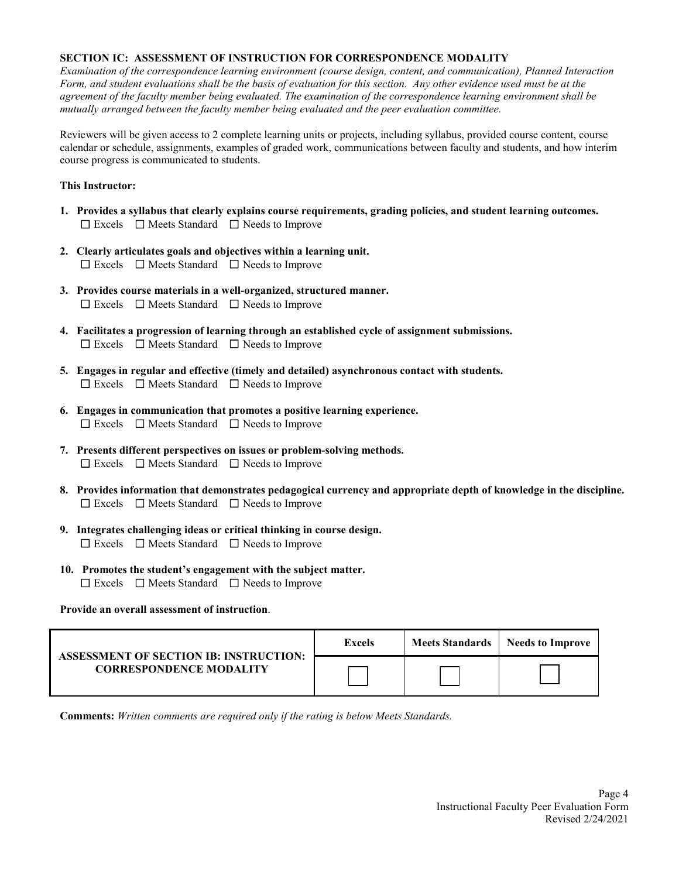## **SECTION IC: ASSESSMENT OF INSTRUCTION FOR CORRESPONDENCE MODALITY**

*Examination of the correspondence learning environment (course design, content, and communication), Planned Interaction Form, and student evaluations shall be the basis of evaluation for this section. Any other evidence used must be at the agreement of the faculty member being evaluated. The examination of the correspondence learning environment shall be mutually arranged between the faculty member being evaluated and the peer evaluation committee.*

Reviewers will be given access to 2 complete learning units or projects, including syllabus, provided course content, course calendar or schedule, assignments, examples of graded work, communications between faculty and students, and how interim course progress is communicated to students.

## **This Instructor:**

- **1. Provides a syllabus that clearly explains course requirements, grading policies, and student learning outcomes.** ☐ Excels ☐ Meets Standard ☐ Needs to Improve
- **2. Clearly articulates goals and objectives within a learning unit.** ☐ Excels ☐ Meets Standard ☐ Needs to Improve
- **3. Provides course materials in a well-organized, structured manner.**  ☐ Excels ☐ Meets Standard ☐ Needs to Improve
- **4. Facilitates a progression of learning through an established cycle of assignment submissions.**  ☐ Excels ☐ Meets Standard ☐ Needs to Improve
- **5. Engages in regular and effective (timely and detailed) asynchronous contact with students.**  ☐ Excels ☐ Meets Standard ☐ Needs to Improve
- **6. Engages in communication that promotes a positive learning experience.** ☐ Excels ☐ Meets Standard ☐ Needs to Improve
- **7. Presents different perspectives on issues or problem-solving methods.** ☐ Excels ☐ Meets Standard ☐ Needs to Improve
- **8. Provides information that demonstrates pedagogical currency and appropriate depth of knowledge in the discipline.**  ☐ Excels ☐ Meets Standard ☐ Needs to Improve
- **9. Integrates challenging ideas or critical thinking in course design.** ☐ Excels ☐ Meets Standard ☐ Needs to Improve
- **10. Promotes the student's engagement with the subject matter.**  ☐ Excels ☐ Meets Standard ☐ Needs to Improve

## **Provide an overall assessment of instruction**.

| <b>ASSESSMENT OF SECTION IB: INSTRUCTION:</b> | Excels | Meets Standards | Needs to Improve |
|-----------------------------------------------|--------|-----------------|------------------|
| <b>CORRESPONDENCE MODALITY</b>                |        |                 |                  |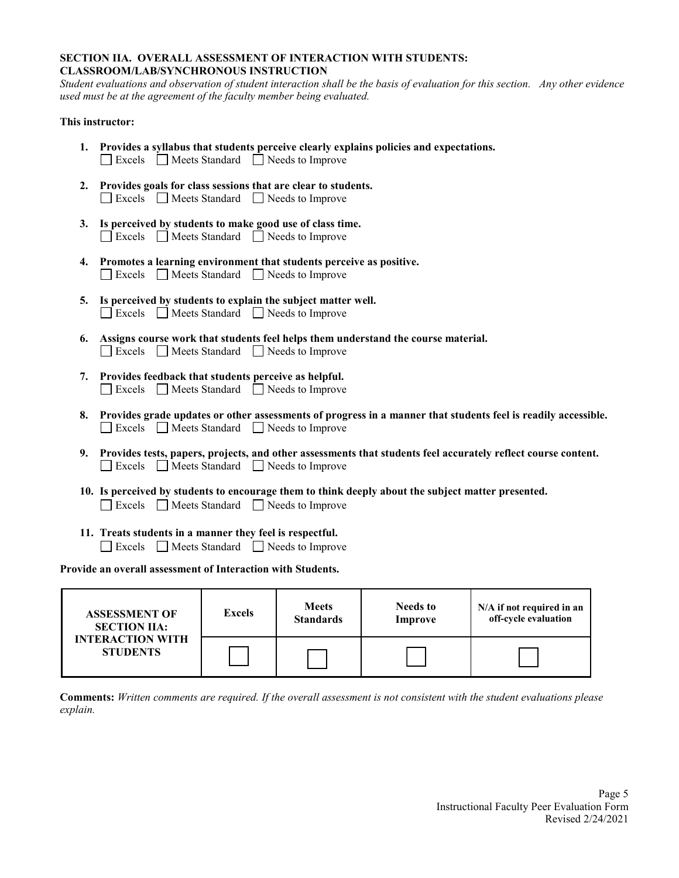## **SECTION IIA. OVERALL ASSESSMENT OF INTERACTION WITH STUDENTS: CLASSROOM/LAB/SYNCHRONOUS INSTRUCTION**

*Student evaluations and observation of student interaction shall be the basis of evaluation for this section. Any other evidence used must be at the agreement of the faculty member being evaluated.*

## **This instructor:**

- **1. Provides a syllabus that students perceive clearly explains policies and expectations.** Excels Meets Standard Needs to Improve
- **2. Provides goals for class sessions that are clear to students.** Excels Meets Standard Needs to Improve
- **3. Is perceived by students to make good use of class time.** Excels Meets Standard Needs to Improve
- **4. Promotes a learning environment that students perceive as positive.** Excels Meets Standard Needs to Improve
- **5. Is perceived by students to explain the subject matter well.** Excels Meets Standard Needs to Improve
- **6. Assigns course work that students feel helps them understand the course material.** Excels Meets Standard Needs to Improve
- **7. Provides feedback that students perceive as helpful.** Excels Meets Standard Needs to Improve
- **8. Provides grade updates or other assessments of progress in a manner that students feel is readily accessible.**  Excels Meets Standard Needs to Improve
- **9. Provides tests, papers, projects, and other assessments that students feel accurately reflect course content.** Excels Meets Standard Needs to Improve
- **10. Is perceived by students to encourage them to think deeply about the subject matter presented.** Excels Meets Standard Needs to Improve
- **11. Treats students in a manner they feel is respectful.**
	- Excels Meets Standard Needs to Improve

**Provide an overall assessment of Interaction with Students.**

| <b>ASSESSMENT OF</b>                       | <b>Excels</b> | <b>Meets</b>     | <b>Needs to</b> | N/A if not required in an |
|--------------------------------------------|---------------|------------------|-----------------|---------------------------|
| <b>SECTION IIA:</b>                        |               | <b>Standards</b> | Improve         | off-cycle evaluation      |
| <b>INTERACTION WITH</b><br><b>STUDENTS</b> |               |                  |                 |                           |

**Comments:** *Written comments are required. If the overall assessment is not consistent with the student evaluations please explain.*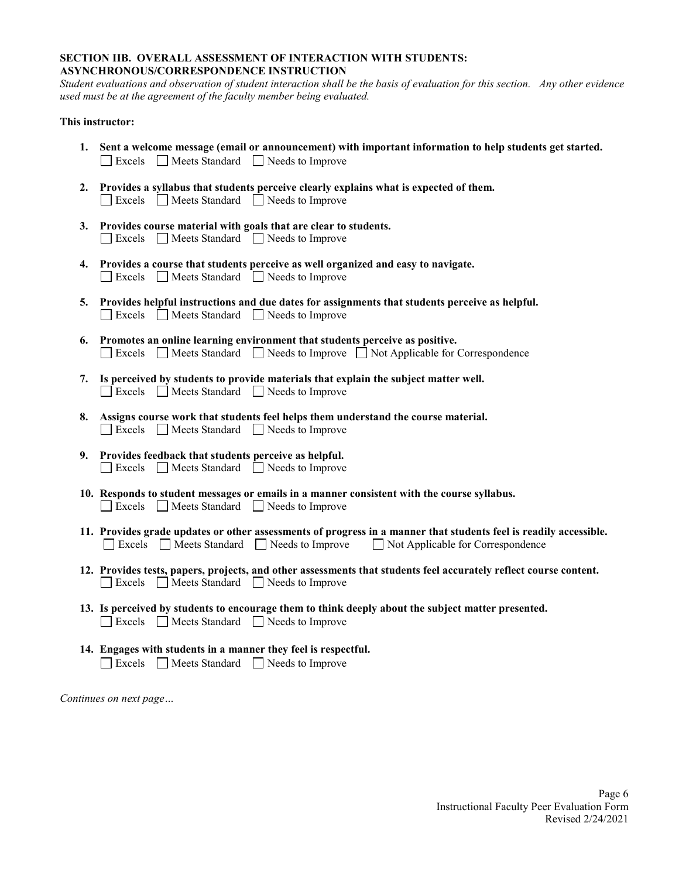#### **SECTION IIB. OVERALL ASSESSMENT OF INTERACTION WITH STUDENTS: ASYNCHRONOUS/CORRESPONDENCE INSTRUCTION**

*Student evaluations and observation of student interaction shall be the basis of evaluation for this section. Any other evidence used must be at the agreement of the faculty member being evaluated.* 

## **This instructor:**

- **1. Sent a welcome message (email or announcement) with important information to help students get started.**   $\Box$  Excels  $\Box$  Meets Standard  $\Box$  Needs to Improve
- **2. Provides a syllabus that students perceive clearly explains what is expected of them.** Excels Meets Standard Needs to Improve
- **3. Provides course material with goals that are clear to students.**  Excels Meets Standard Needs to Improve
- **4. Provides a course that students perceive as well organized and easy to navigate.** Excels **Neets** Standard **Needs** to Improve
- **5. Provides helpful instructions and due dates for assignments that students perceive as helpful.** Excels Neets Standard Needs to Improve
- **6. Promotes an online learning environment that students perceive as positive.** Excels Meets Standard Needs to Improve Not Applicable for Correspondence
- **7. Is perceived by students to provide materials that explain the subject matter well.**  $\Box$  Excels  $\Box$  Meets Standard  $\Box$  Needs to Improve
- **8. Assigns course work that students feel helps them understand the course material.** Excels **Neets** Standard **Needs** to Improve
- **9. Provides feedback that students perceive as helpful.** Excels Neets Standard Needs to Improve
- **10. Responds to student messages or emails in a manner consistent with the course syllabus.**  $\Box$  Excels  $\Box$  Meets Standard  $\Box$  Needs to Improve
- **11. Provides grade updates or other assessments of progress in a manner that students feel is readily accessible.** Excels  $\Box$  Meets Standard  $\Box$  Needs to Improve  $\Box$  Not Applicable for Correspondence
- **12. Provides tests, papers, projects, and other assessments that students feel accurately reflect course content.**  $\Box$  Excels  $\Box$  Meets Standard  $\Box$  Needs to Improve
- **13. Is perceived by students to encourage them to think deeply about the subject matter presented.** Excels Neets Standard Needs to Improve
- **14. Engages with students in a manner they feel is respectful.** Excels Neets Standard Needs to Improve

*Continues on next page…*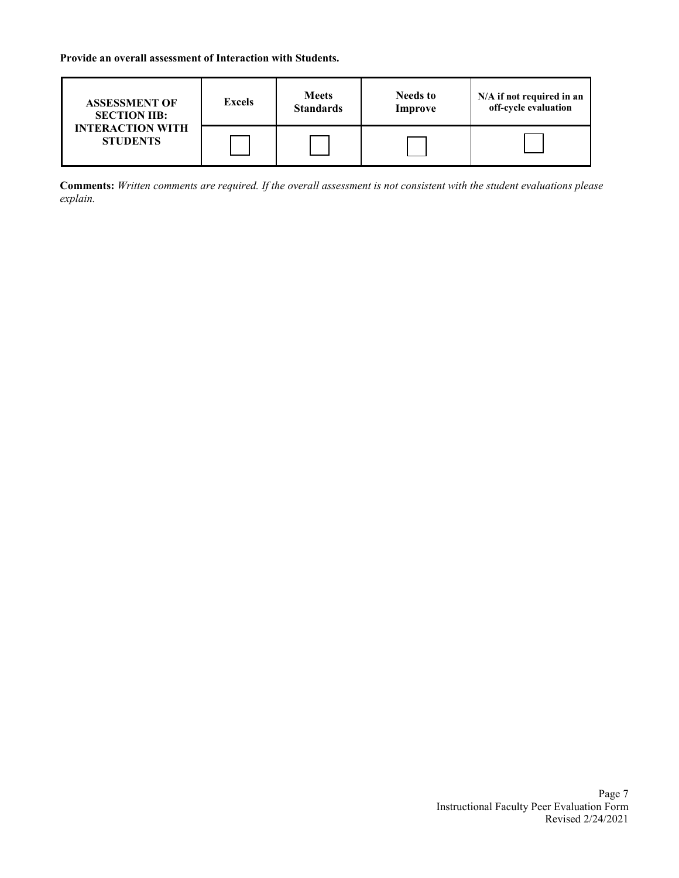**Provide an overall assessment of Interaction with Students.**

| <b>ASSESSMENT OF</b>                       | <b>Excels</b> | <b>Meets</b>     | <b>Needs to</b> | N/A if not required in an |
|--------------------------------------------|---------------|------------------|-----------------|---------------------------|
| <b>SECTION IIB:</b>                        |               | <b>Standards</b> | <b>Improve</b>  | off-cycle evaluation      |
| <b>INTERACTION WITH</b><br><b>STUDENTS</b> |               |                  |                 |                           |

**Comments:** *Written comments are required. If the overall assessment is not consistent with the student evaluations please explain.*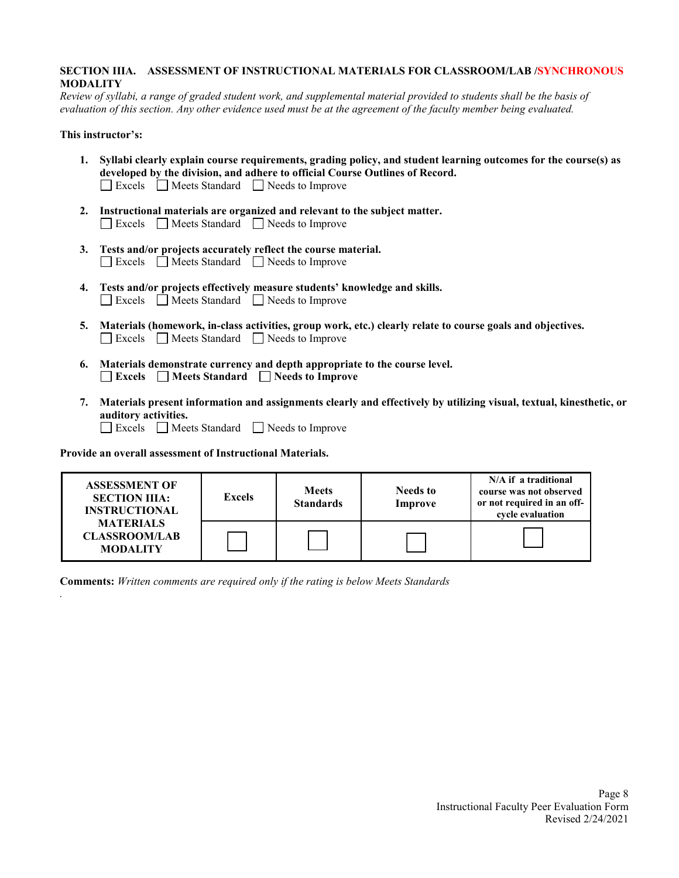## **SECTION IIIA. ASSESSMENT OF INSTRUCTIONAL MATERIALS FOR CLASSROOM/LAB /SYNCHRONOUS MODALITY**

*Review of syllabi, a range of graded student work, and supplemental material provided to students shall be the basis of evaluation of this section. Any other evidence used must be at the agreement of the faculty member being evaluated.*

## **This instructor's:**

*.*

- **1. Syllabi clearly explain course requirements, grading policy, and student learning outcomes for the course(s) as developed by the division, and adhere to official Course Outlines of Record.** Excels Meets Standard Needs to Improve
- **2. Instructional materials are organized and relevant to the subject matter.** Excels Meets Standard Needs to Improve
- **3. Tests and/or projects accurately reflect the course material.**  Excels Meets Standard Needs to Improve
- **4. Tests and/or projects effectively measure students' knowledge and skills.** Excels Meets Standard Needs to Improve
- **5. Materials (homework, in-class activities, group work, etc.) clearly relate to course goals and objectives.** Excels Meets Standard Needs to Improve
- **6. Materials demonstrate currency and depth appropriate to the course level. Excels Meets Standard Needs to Improve**
- **7. Materials present information and assignments clearly and effectively by utilizing visual, textual, kinesthetic, or auditory activities.** Excels Meets Standard Needs to Improve

**Provide an overall assessment of Instructional Materials.** 

| <b>ASSESSMENT OF</b><br><b>SECTION IIIA:</b><br><b>INSTRUCTIONAL</b><br><b>MATERIALS</b><br><b>CLASSROOM/LAB</b><br><b>MODALITY</b> | <b>Excels</b> | <b>Meets</b><br><b>Standards</b> | <b>Needs to</b><br>Improve | N/A if a traditional<br>course was not observed<br>or not required in an off-<br>cycle evaluation |
|-------------------------------------------------------------------------------------------------------------------------------------|---------------|----------------------------------|----------------------------|---------------------------------------------------------------------------------------------------|
|                                                                                                                                     |               |                                  |                            |                                                                                                   |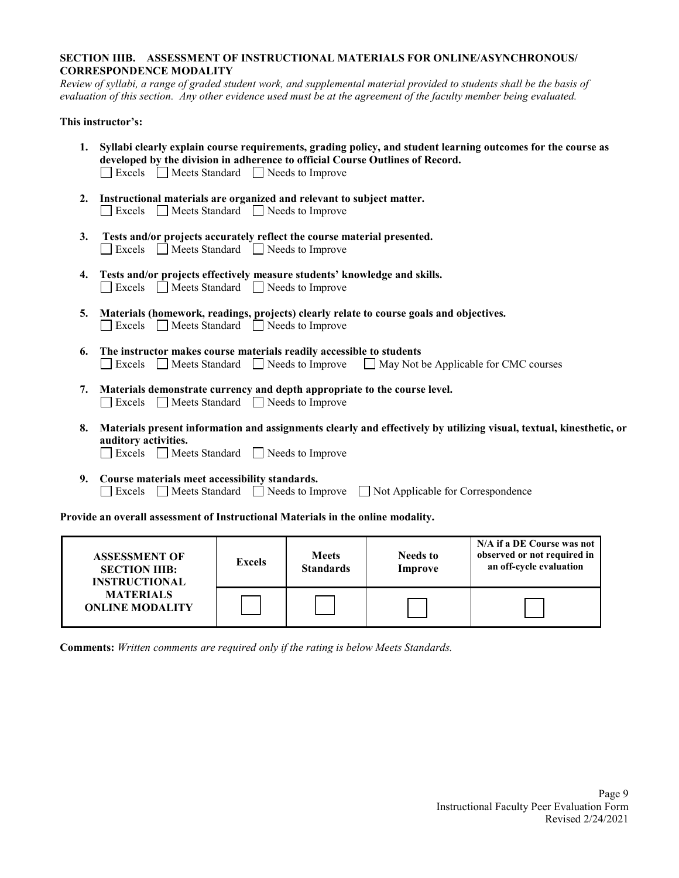## **SECTION IIIB. ASSESSMENT OF INSTRUCTIONAL MATERIALS FOR ONLINE/ASYNCHRONOUS/ CORRESPONDENCE MODALITY**

*Review of syllabi, a range of graded student work, and supplemental material provided to students shall be the basis of evaluation of this section. Any other evidence used must be at the agreement of the faculty member being evaluated.*

## **This instructor's:**

- **1. Syllabi clearly explain course requirements, grading policy, and student learning outcomes for the course as developed by the division in adherence to official Course Outlines of Record.** Excels Meets Standard Needs to Improve
- **2. Instructional materials are organized and relevant to subject matter.** Excels **Neets** Standard **Needs** to Improve
- **3. Tests and/or projects accurately reflect the course material presented.** Excels Meets Standard Needs to Improve
- **4. Tests and/or projects effectively measure students' knowledge and skills.**  $\Box$  Excels  $\Box$  Meets Standard  $\Box$  Needs to Improve
- **5. Materials (homework, readings, projects) clearly relate to course goals and objectives.** Excels Meets Standard Needs to Improve
- **6. The instructor makes course materials readily accessible to students** Excels  $\Box$  Meets Standard  $\Box$  Needs to Improve  $\Box$  May Not be Applicable for CMC courses
- **7. Materials demonstrate currency and depth appropriate to the course level.** Excels **Neets** Standard **Needs** to Improve
- **8. Materials present information and assignments clearly and effectively by utilizing visual, textual, kinesthetic, or auditory activities.**
	- Excels Meets Standard Needs to Improve
- **9. Course materials meet accessibility standards.** Excels Meets Standard Needs to Improve Not Applicable for Correspondence

**Provide an overall assessment of Instructional Materials in the online modality.** 

| <b>ASSESSMENT OF</b><br><b>SECTION IIIB:</b><br><b>INSTRUCTIONAL</b> | <b>Excels</b> | <b>Meets</b><br><b>Standards</b> | <b>Needs to</b><br>Improve | N/A if a DE Course was not<br>observed or not required in<br>an off-cycle evaluation |
|----------------------------------------------------------------------|---------------|----------------------------------|----------------------------|--------------------------------------------------------------------------------------|
| <b>MATERIALS</b><br><b>ONLINE MODALITY</b>                           |               |                                  |                            |                                                                                      |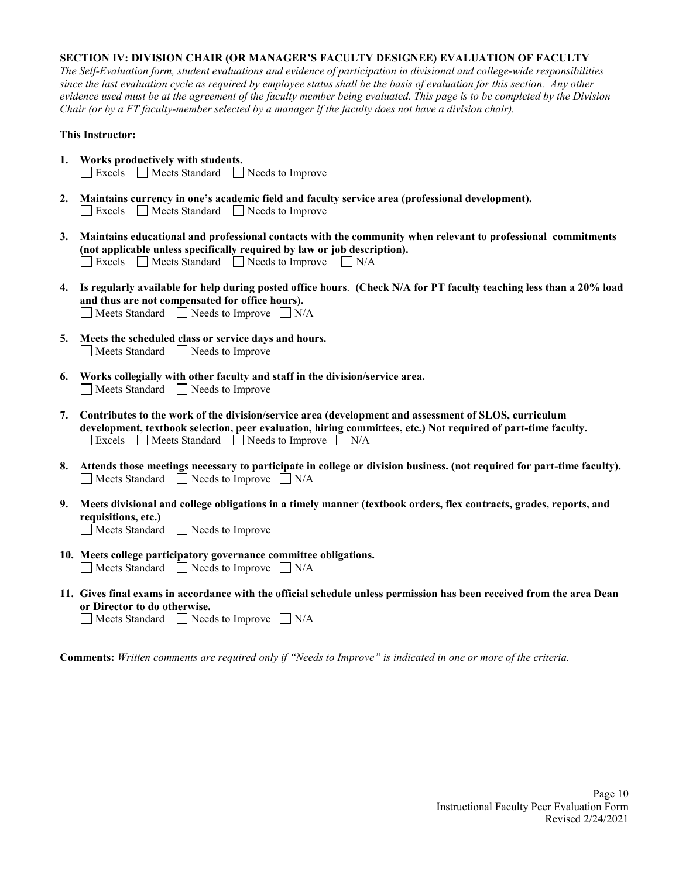## **SECTION IV: DIVISION CHAIR (OR MANAGER'S FACULTY DESIGNEE) EVALUATION OF FACULTY**

*The Self-Evaluation form, student evaluations and evidence of participation in divisional and college-wide responsibilities since the last evaluation cycle as required by employee status shall be the basis of evaluation for this section. Any other evidence used must be at the agreement of the faculty member being evaluated. This page is to be completed by the Division Chair (or by a FT faculty-member selected by a manager if the faculty does not have a division chair).* 

#### **This Instructor:**

- **1. Works productively with students.**   $\Box$  Excels  $\Box$  Meets Standard  $\Box$  Needs to Improve
- **2. Maintains currency in one's academic field and faculty service area (professional development).**  Excels Neets Standard Needs to Improve
- **3. Maintains educational and professional contacts with the community when relevant to professional commitments (not applicable unless specifically required by law or job description).**  $\Box$  Excels  $\Box$  Meets Standard  $\Box$  Needs to Improve  $\Box$  N/A
- **4. Is regularly available for help during posted office hours**. **(Check N/A for PT faculty teaching less than a 20% load and thus are not compensated for office hours).**  $\Box$  Meets Standard  $\Box$  Needs to Improve  $\Box$  N/A
- **5. Meets the scheduled class or service days and hours.** Meets Standard Needs to Improve
- **6. Works collegially with other faculty and staff in the division/service area.**  $\Box$  Meets Standard  $\Box$  Needs to Improve
- **7. Contributes to the work of the division/service area (development and assessment of SLOS, curriculum development, textbook selection, peer evaluation, hiring committees, etc.) Not required of part-time faculty.**  $\Box$  Excels  $\Box$  Meets Standard  $\Box$  Needs to Improve  $\Box$  N/A
- **8. Attends those meetings necessary to participate in college or division business. (not required for part-time faculty).**  $\Box$  Meets Standard  $\Box$  Needs to Improve  $\Box$  N/A
- **9. Meets divisional and college obligations in a timely manner (textbook orders, flex contracts, grades, reports, and requisitions, etc.)** Meets Standard Needs to Improve
- **10. Meets college participatory governance committee obligations.**  $\Box$  Meets Standard  $\Box$  Needs to Improve  $\Box$  N/A
- **11. Gives final exams in accordance with the official schedule unless permission has been received from the area Dean or Director to do otherwise.**

 $\Box$  Meets Standard  $\Box$  Needs to Improve  $\Box$  N/A

**Comments:** *Written comments are required only if "Needs to Improve" is indicated in one or more of the criteria.*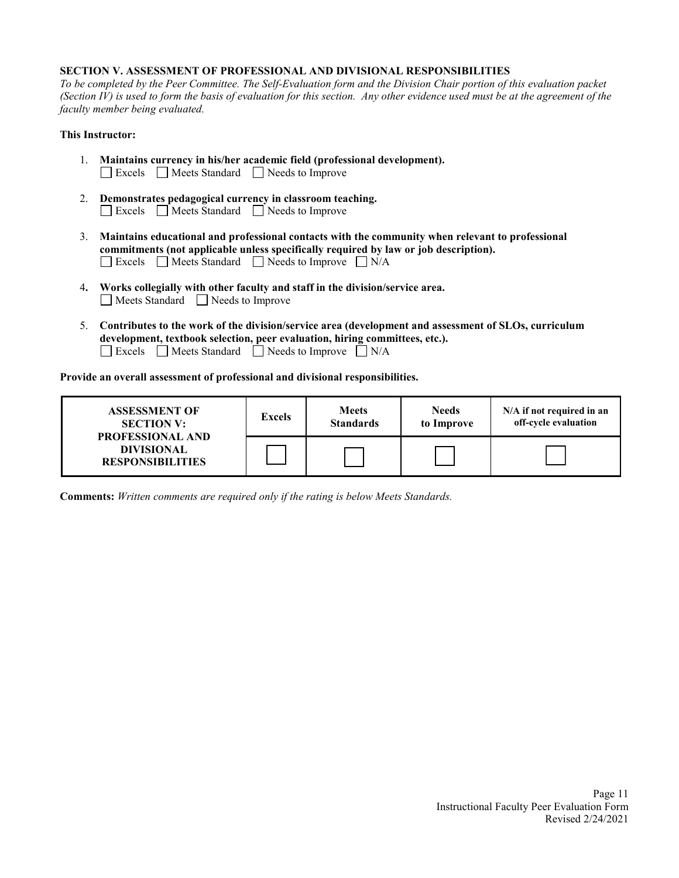#### **SECTION V. ASSESSMENT OF PROFESSIONAL AND DIVISIONAL RESPONSIBILITIES**

*To be completed by the Peer Committee. The Self-Evaluation form and the Division Chair portion of this evaluation packet (Section IV) is used to form the basis of evaluation for this section. Any other evidence used must be at the agreement of the faculty member being evaluated.*

## **This Instructor:**

- 1. **Maintains currency in his/her academic field (professional development).**  Excels Meets Standard Needs to Improve
- 2. **Demonstrates pedagogical currency in classroom teaching.** Excels Meets Standard Needs to Improve
- 3. **Maintains educational and professional contacts with the community when relevant to professional commitments (not applicable unless specifically required by law or job description).**  $\Box$  Excels  $\Box$  Meets Standard  $\Box$  Needs to Improve  $\Box$  N/A
- 4**. Works collegially with other faculty and staff in the division/service area.** Meets Standard Needs to Improve
- 5. **Contributes to the work of the division/service area (development and assessment of SLOs, curriculum development, textbook selection, peer evaluation, hiring committees, etc.).**  $\Box$  Excels  $\Box$  Meets Standard  $\Box$  Needs to Improve  $\Box$  N/A

**Provide an overall assessment of professional and divisional responsibilities.**

| <b>ASSESSMENT OF</b><br><b>SECTION V:</b><br><b>PROFESSIONAL AND</b> | <b>Excels</b> | <b>Meets</b><br><b>Standards</b> | <b>Needs</b><br>to Improve | N/A if not required in an<br>off-cycle evaluation |
|----------------------------------------------------------------------|---------------|----------------------------------|----------------------------|---------------------------------------------------|
| <b>DIVISIONAL</b><br><b>RESPONSIBILITIES</b>                         |               |                                  |                            |                                                   |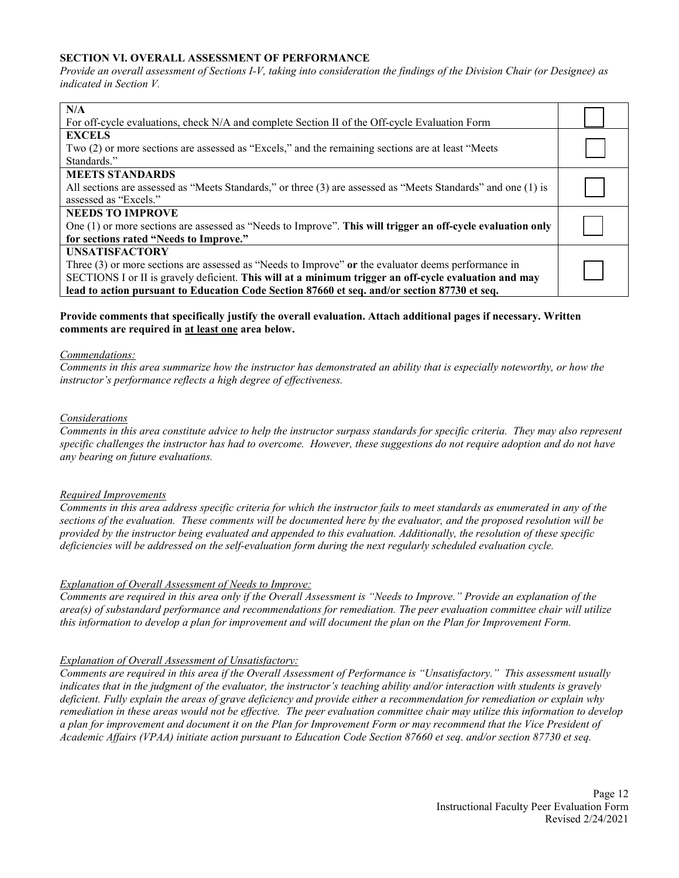## **SECTION VI. OVERALL ASSESSMENT OF PERFORMANCE**

*Provide an overall assessment of Sections I-V, taking into consideration the findings of the Division Chair (or Designee) as indicated in Section V.*

| N/A                                                                                                           |  |
|---------------------------------------------------------------------------------------------------------------|--|
| For off-cycle evaluations, check N/A and complete Section II of the Off-cycle Evaluation Form                 |  |
| <b>EXCELS</b>                                                                                                 |  |
| Two (2) or more sections are assessed as "Excels," and the remaining sections are at least "Meets"            |  |
| Standards."                                                                                                   |  |
| <b>MEETS STANDARDS</b>                                                                                        |  |
| All sections are assessed as "Meets Standards," or three (3) are assessed as "Meets Standards" and one (1) is |  |
| assessed as "Excels."                                                                                         |  |
| <b>NEEDS TO IMPROVE</b>                                                                                       |  |
| One $(1)$ or more sections are assessed as "Needs to Improve". This will trigger an off-cycle evaluation only |  |
| for sections rated "Needs to Improve."                                                                        |  |
| <b>UNSATISFACTORY</b>                                                                                         |  |
| Three (3) or more sections are assessed as "Needs to Improve" or the evaluator deems performance in           |  |
| SECTIONS I or II is gravely deficient. This will at a minimum trigger an off-cycle evaluation and may         |  |
| lead to action pursuant to Education Code Section 87660 et seq. and/or section 87730 et seq.                  |  |

## **Provide comments that specifically justify the overall evaluation. Attach additional pages if necessary. Written comments are required in at least one area below.**

#### *Commendations:*

*Comments in this area summarize how the instructor has demonstrated an ability that is especially noteworthy, or how the instructor's performance reflects a high degree of effectiveness.*

#### *Considerations*

*Comments in this area constitute advice to help the instructor surpass standards for specific criteria. They may also represent specific challenges the instructor has had to overcome. However, these suggestions do not require adoption and do not have any bearing on future evaluations.*

#### *Required Improvements*

*Comments in this area address specific criteria for which the instructor fails to meet standards as enumerated in any of the sections of the evaluation. These comments will be documented here by the evaluator, and the proposed resolution will be provided by the instructor being evaluated and appended to this evaluation. Additionally, the resolution of these specific deficiencies will be addressed on the self-evaluation form during the next regularly scheduled evaluation cycle.*

#### *Explanation of Overall Assessment of Needs to Improve:*

*Comments are required in this area only if the Overall Assessment is "Needs to Improve." Provide an explanation of the area(s) of substandard performance and recommendations for remediation. The peer evaluation committee chair will utilize this information to develop a plan for improvement and will document the plan on the Plan for Improvement Form.*

#### *Explanation of Overall Assessment of Unsatisfactory:*

*Comments are required in this area if the Overall Assessment of Performance is "Unsatisfactory." This assessment usually* indicates that in the judgment of the evaluator, the instructor's teaching ability and/or interaction with students is gravely *deficient. Fully explain the areas of grave deficiency and provide either a recommendation for remediation or explain why remediation in these areas would not be effective. The peer evaluation committee chair may utilize this information to develop a plan for improvement and document it on the Plan for Improvement Form or may recommend that the Vice President of Academic Affairs (VPAA) initiate action pursuant to Education Code Section 87660 et seq. and/or section 87730 et seq.*